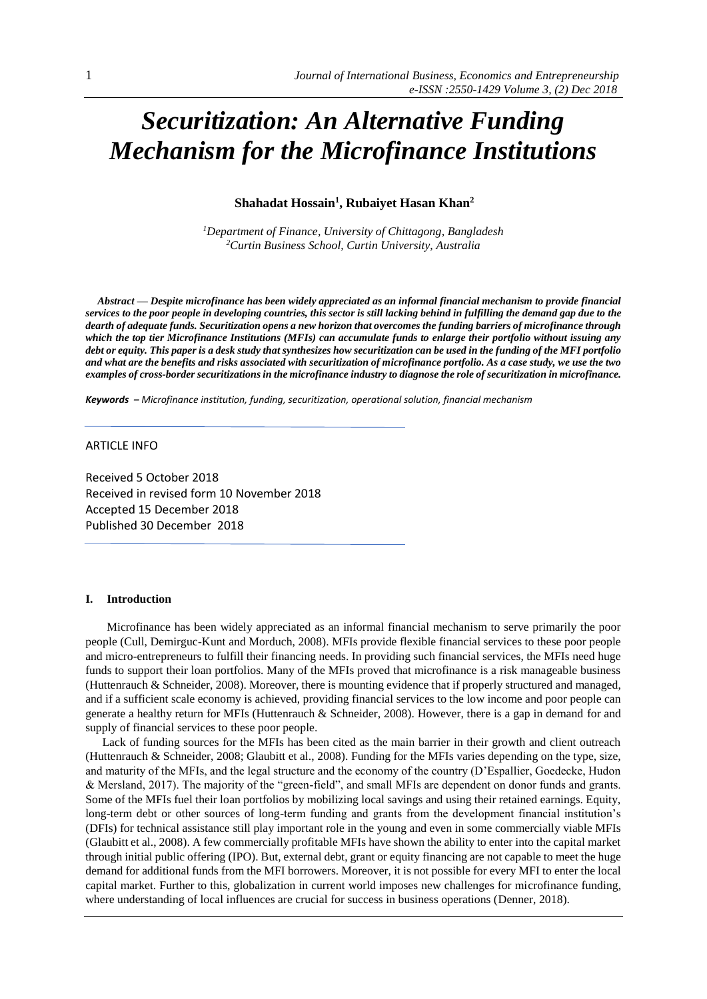# *Securitization: An Alternative Funding Mechanism for the Microfinance Institutions*

# **Shahadat Hossain<sup>1</sup> , Rubaiyet Hasan Khan<sup>2</sup>**

*<sup>1</sup>Department of Finance, University of Chittagong, Bangladesh <sup>2</sup>Curtin Business School, Curtin University, Australia*

*Abstract — Despite microfinance has been widely appreciated as an informal financial mechanism to provide financial services to the poor people in developing countries, this sector is still lacking behind in fulfilling the demand gap due to the dearth of adequate funds. Securitization opens a new horizon that overcomes the funding barriers of microfinance through which the top tier Microfinance Institutions (MFIs) can accumulate funds to enlarge their portfolio without issuing any debt or equity. This paper is a desk study that synthesizes how securitization can be used in the funding of the MFI portfolio and what are the benefits and risks associated with securitization of microfinance portfolio. As a case study, we use the two examples of cross-border securitizations in the microfinance industry to diagnose the role of securitization in microfinance.*

*Keywords – Microfinance institution, funding, securitization, operational solution, financial mechanism*

# ARTICLE INFO

Received 5 October 2018 Received in revised form 10 November 2018 Accepted 15 December 2018 Published 30 December 2018

#### **I. Introduction**

Microfinance has been widely appreciated as an informal financial mechanism to serve primarily the poor people (Cull, Demirguc-Kunt and Morduch, 2008). MFIs provide flexible financial services to these poor people and micro-entrepreneurs to fulfill their financing needs. In providing such financial services, the MFIs need huge funds to support their loan portfolios. Many of the MFIs proved that microfinance is a risk manageable business (Huttenrauch & Schneider, 2008). Moreover, there is mounting evidence that if properly structured and managed, and if a sufficient scale economy is achieved, providing financial services to the low income and poor people can generate a healthy return for MFIs (Huttenrauch & Schneider, 2008). However, there is a gap in demand for and supply of financial services to these poor people.

Lack of funding sources for the MFIs has been cited as the main barrier in their growth and client outreach (Huttenrauch & Schneider, 2008; Glaubitt et al., 2008). Funding for the MFIs varies depending on the type, size, and maturity of the MFIs, and the legal structure and the economy of the country (D'Espallier, Goedecke, Hudon & Mersland, 2017). The majority of the "green-field", and small MFIs are dependent on donor funds and grants. Some of the MFIs fuel their loan portfolios by mobilizing local savings and using their retained earnings. Equity, long-term debt or other sources of long-term funding and grants from the development financial institution's (DFIs) for technical assistance still play important role in the young and even in some commercially viable MFIs (Glaubitt et al., 2008). A few commercially profitable MFIs have shown the ability to enter into the capital market through initial public offering (IPO). But, external debt, grant or equity financing are not capable to meet the huge demand for additional funds from the MFI borrowers. Moreover, it is not possible for every MFI to enter the local capital market. Further to this, globalization in current world imposes new challenges for microfinance funding, where understanding of local influences are crucial for success in business operations (Denner, 2018).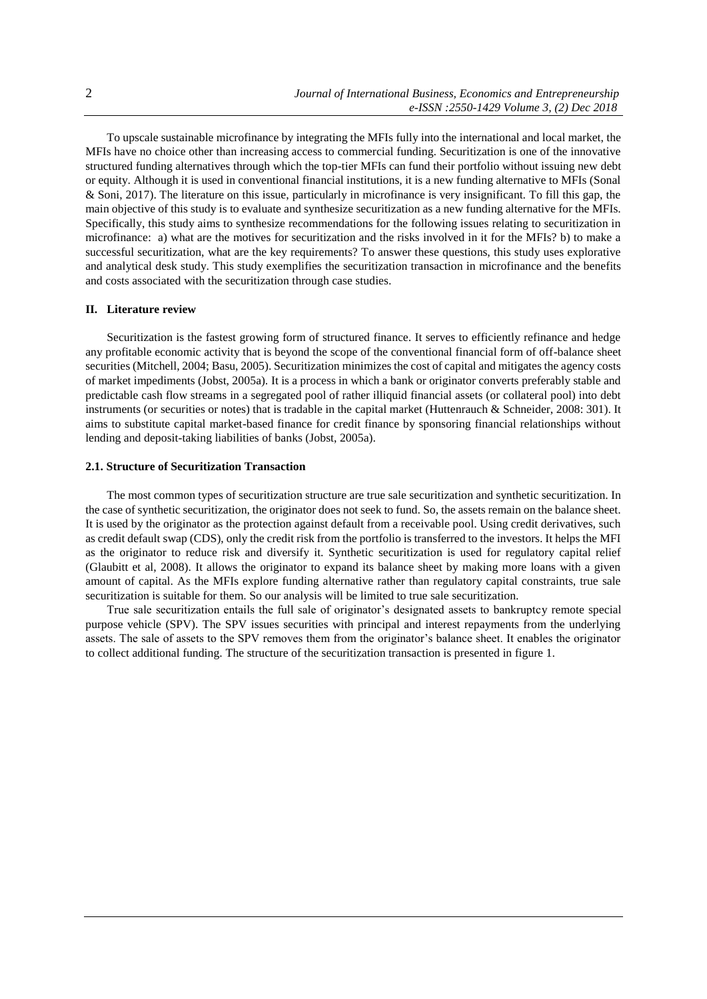To upscale sustainable microfinance by integrating the MFIs fully into the international and local market, the MFIs have no choice other than increasing access to commercial funding. Securitization is one of the innovative structured funding alternatives through which the top-tier MFIs can fund their portfolio without issuing new debt or equity. Although it is used in conventional financial institutions, it is a new funding alternative to MFIs (Sonal & Soni, 2017). The literature on this issue, particularly in microfinance is very insignificant. To fill this gap, the main objective of this study is to evaluate and synthesize securitization as a new funding alternative for the MFIs. Specifically, this study aims to synthesize recommendations for the following issues relating to securitization in microfinance: a) what are the motives for securitization and the risks involved in it for the MFIs? b) to make a successful securitization, what are the key requirements? To answer these questions, this study uses explorative and analytical desk study. This study exemplifies the securitization transaction in microfinance and the benefits and costs associated with the securitization through case studies.

## **II. Literature review**

Securitization is the fastest growing form of structured finance. It serves to efficiently refinance and hedge any profitable economic activity that is beyond the scope of the conventional financial form of off-balance sheet securities (Mitchell, 2004; Basu, 2005). Securitization minimizes the cost of capital and mitigates the agency costs of market impediments (Jobst, 2005a). It is a process in which a bank or originator converts preferably stable and predictable cash flow streams in a segregated pool of rather illiquid financial assets (or collateral pool) into debt instruments (or securities or notes) that is tradable in the capital market (Huttenrauch & Schneider, 2008: 301). It aims to substitute capital market-based finance for credit finance by sponsoring financial relationships without lending and deposit-taking liabilities of banks (Jobst, 2005a).

## **2.1. Structure of Securitization Transaction**

The most common types of securitization structure are true sale securitization and synthetic securitization. In the case of synthetic securitization, the originator does not seek to fund. So, the assets remain on the balance sheet. It is used by the originator as the protection against default from a receivable pool. Using credit derivatives, such as credit default swap (CDS), only the credit risk from the portfolio is transferred to the investors. It helps the MFI as the originator to reduce risk and diversify it. Synthetic securitization is used for regulatory capital relief (Glaubitt et al, 2008). It allows the originator to expand its balance sheet by making more loans with a given amount of capital. As the MFIs explore funding alternative rather than regulatory capital constraints, true sale securitization is suitable for them. So our analysis will be limited to true sale securitization.

True sale securitization entails the full sale of originator's designated assets to bankruptcy remote special purpose vehicle (SPV). The SPV issues securities with principal and interest repayments from the underlying assets. The sale of assets to the SPV removes them from the originator's balance sheet. It enables the originator to collect additional funding. The structure of the securitization transaction is presented in figure 1.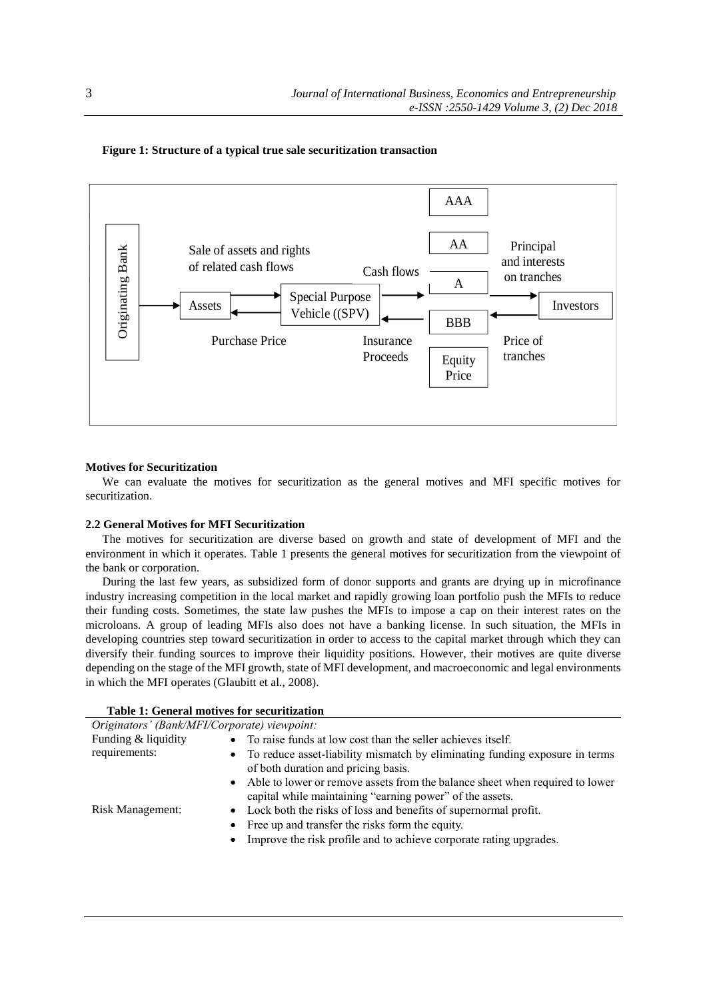# **Figure 1: Structure of a typical true sale securitization transaction**



## **Motives for Securitization**

We can evaluate the motives for securitization as the general motives and MFI specific motives for securitization.

## **2.2 General Motives for MFI Securitization**

The motives for securitization are diverse based on growth and state of development of MFI and the environment in which it operates. Table 1 presents the general motives for securitization from the viewpoint of the bank or corporation.

During the last few years, as subsidized form of donor supports and grants are drying up in microfinance industry increasing competition in the local market and rapidly growing loan portfolio push the MFIs to reduce their funding costs. Sometimes, the state law pushes the MFIs to impose a cap on their interest rates on the microloans. A group of leading MFIs also does not have a banking license. In such situation, the MFIs in developing countries step toward securitization in order to access to the capital market through which they can diversify their funding sources to improve their liquidity positions. However, their motives are quite diverse depending on the stage of the MFI growth, state of MFI development, and macroeconomic and legal environments in which the MFI operates (Glaubitt et al., 2008).

| Table 1. General motives for securitization<br>Originators' (Bank/MFI/Corporate) viewpoint:                                                |  |
|--------------------------------------------------------------------------------------------------------------------------------------------|--|
|                                                                                                                                            |  |
| • To reduce asset-liability mismatch by eliminating funding exposure in terms<br>of both duration and pricing basis.                       |  |
| • Able to lower or remove assets from the balance sheet when required to lower<br>capital while maintaining "earning power" of the assets. |  |
| • Lock both the risks of loss and benefits of supernormal profit.                                                                          |  |
| Free up and transfer the risks form the equity.<br>$\bullet$                                                                               |  |
| Improve the risk profile and to achieve corporate rating upgrades.<br>$\bullet$                                                            |  |
|                                                                                                                                            |  |
|                                                                                                                                            |  |

**Table 1: General motives for securitization**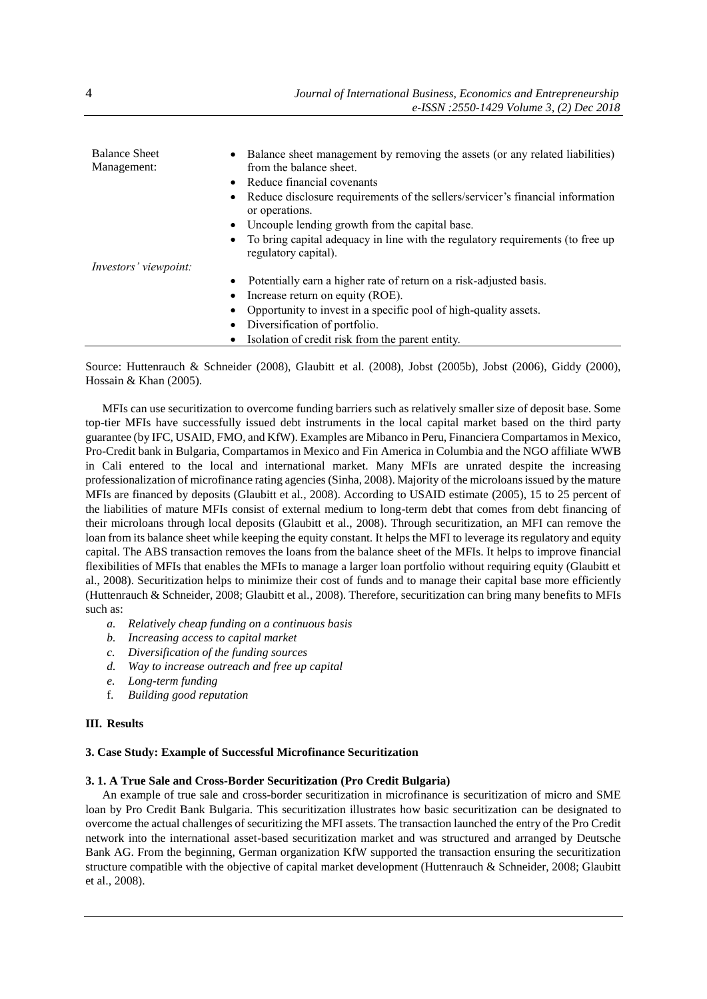| <b>Balance Sheet</b><br>Management: | Balance sheet management by removing the assets (or any related liabilities)<br>$\bullet$<br>from the balance sheet. |
|-------------------------------------|----------------------------------------------------------------------------------------------------------------------|
|                                     | Reduce financial covenants<br>$\bullet$                                                                              |
|                                     | Reduce disclosure requirements of the sellers/servicer's financial information<br>$\bullet$<br>or operations.        |
|                                     | Uncouple lending growth from the capital base.<br>$\bullet$                                                          |
|                                     | To bring capital adequacy in line with the regulatory requirements (to free up<br>$\bullet$<br>regulatory capital).  |
| Investors' viewpoint:               |                                                                                                                      |
|                                     | Potentially earn a higher rate of return on a risk-adjusted basis.<br>$\bullet$                                      |
|                                     | Increase return on equity (ROE).                                                                                     |
|                                     | Opportunity to invest in a specific pool of high-quality assets.                                                     |
|                                     | Diversification of portfolio.                                                                                        |
|                                     | Isolation of credit risk from the parent entity.                                                                     |

Source: Huttenrauch & Schneider (2008), Glaubitt et al. (2008), Jobst (2005b), Jobst (2006), Giddy (2000), Hossain & Khan (2005).

MFIs can use securitization to overcome funding barriers such as relatively smaller size of deposit base. Some top-tier MFIs have successfully issued debt instruments in the local capital market based on the third party guarantee (by IFC, USAID, FMO, and KfW). Examples are Mibanco in Peru, Financiera Compartamos in Mexico, Pro-Credit bank in Bulgaria, Compartamos in Mexico and Fin America in Columbia and the NGO affiliate WWB in Cali entered to the local and international market. Many MFIs are unrated despite the increasing professionalization of microfinance rating agencies (Sinha, 2008). Majority of the microloans issued by the mature MFIs are financed by deposits (Glaubitt et al*.,* 2008). According to USAID estimate (2005), 15 to 25 percent of the liabilities of mature MFIs consist of external medium to long-term debt that comes from debt financing of their microloans through local deposits (Glaubitt et al., 2008). Through securitization, an MFI can remove the loan from its balance sheet while keeping the equity constant. It helps the MFI to leverage its regulatory and equity capital. The ABS transaction removes the loans from the balance sheet of the MFIs. It helps to improve financial flexibilities of MFIs that enables the MFIs to manage a larger loan portfolio without requiring equity (Glaubitt et al., 2008). Securitization helps to minimize their cost of funds and to manage their capital base more efficiently (Huttenrauch & Schneider, 2008; Glaubitt et al*.,* 2008). Therefore, securitization can bring many benefits to MFIs such as:

- *a. Relatively cheap funding on a continuous basis*
- *b. Increasing access to capital market*
- *c. Diversification of the funding sources*
- *d. Way to increase outreach and free up capital*
- *e. Long-term funding*
- f. *Building good reputation*

# **III. Results**

#### **3. Case Study: Example of Successful Microfinance Securitization**

#### **3. 1. A True Sale and Cross-Border Securitization (Pro Credit Bulgaria)**

An example of true sale and cross-border securitization in microfinance is securitization of micro and SME loan by Pro Credit Bank Bulgaria. This securitization illustrates how basic securitization can be designated to overcome the actual challenges of securitizing the MFI assets. The transaction launched the entry of the Pro Credit network into the international asset-based securitization market and was structured and arranged by Deutsche Bank AG. From the beginning, German organization KfW supported the transaction ensuring the securitization structure compatible with the objective of capital market development (Huttenrauch & Schneider, 2008; Glaubitt et al., 2008).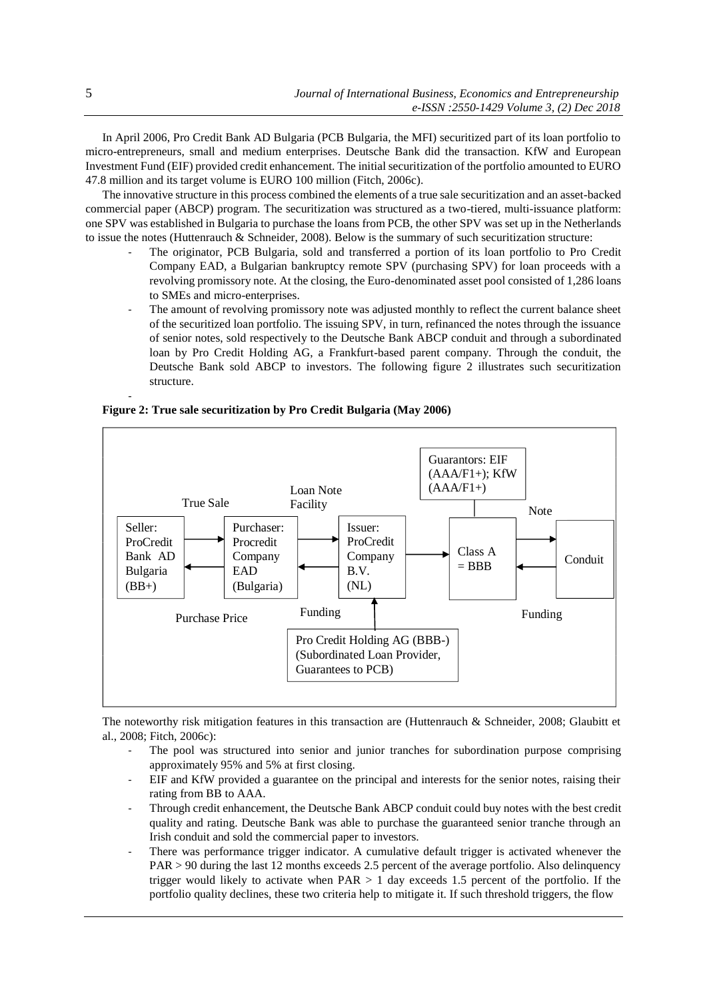In April 2006, Pro Credit Bank AD Bulgaria (PCB Bulgaria, the MFI) securitized part of its loan portfolio to micro-entrepreneurs, small and medium enterprises. Deutsche Bank did the transaction. KfW and European Investment Fund (EIF) provided credit enhancement. The initial securitization of the portfolio amounted to EURO 47.8 million and its target volume is EURO 100 million (Fitch, 2006c).

The innovative structure in this process combined the elements of a true sale securitization and an asset-backed commercial paper (ABCP) program. The securitization was structured as a two-tiered, multi-issuance platform: one SPV was established in Bulgaria to purchase the loans from PCB, the other SPV was set up in the Netherlands to issue the notes (Huttenrauch & Schneider, 2008). Below is the summary of such securitization structure:

- The originator, PCB Bulgaria, sold and transferred a portion of its loan portfolio to Pro Credit Company EAD, a Bulgarian bankruptcy remote SPV (purchasing SPV) for loan proceeds with a revolving promissory note. At the closing, the Euro-denominated asset pool consisted of 1,286 loans to SMEs and micro-enterprises.
- The amount of revolving promissory note was adjusted monthly to reflect the current balance sheet of the securitized loan portfolio. The issuing SPV, in turn, refinanced the notes through the issuance of senior notes, sold respectively to the Deutsche Bank ABCP conduit and through a subordinated loan by Pro Credit Holding AG, a Frankfurt-based parent company. Through the conduit, the Deutsche Bank sold ABCP to investors. The following figure 2 illustrates such securitization structure.





The noteworthy risk mitigation features in this transaction are (Huttenrauch & Schneider, 2008; Glaubitt et al., 2008; Fitch, 2006c):

- The pool was structured into senior and junior tranches for subordination purpose comprising approximately 95% and 5% at first closing.
- EIF and KfW provided a guarantee on the principal and interests for the senior notes, raising their rating from BB to AAA.
- Through credit enhancement, the Deutsche Bank ABCP conduit could buy notes with the best credit quality and rating. Deutsche Bank was able to purchase the guaranteed senior tranche through an Irish conduit and sold the commercial paper to investors.
- There was performance trigger indicator. A cumulative default trigger is activated whenever the PAR > 90 during the last 12 months exceeds 2.5 percent of the average portfolio. Also delinquency trigger would likely to activate when  $PAR > 1$  day exceeds 1.5 percent of the portfolio. If the portfolio quality declines, these two criteria help to mitigate it. If such threshold triggers, the flow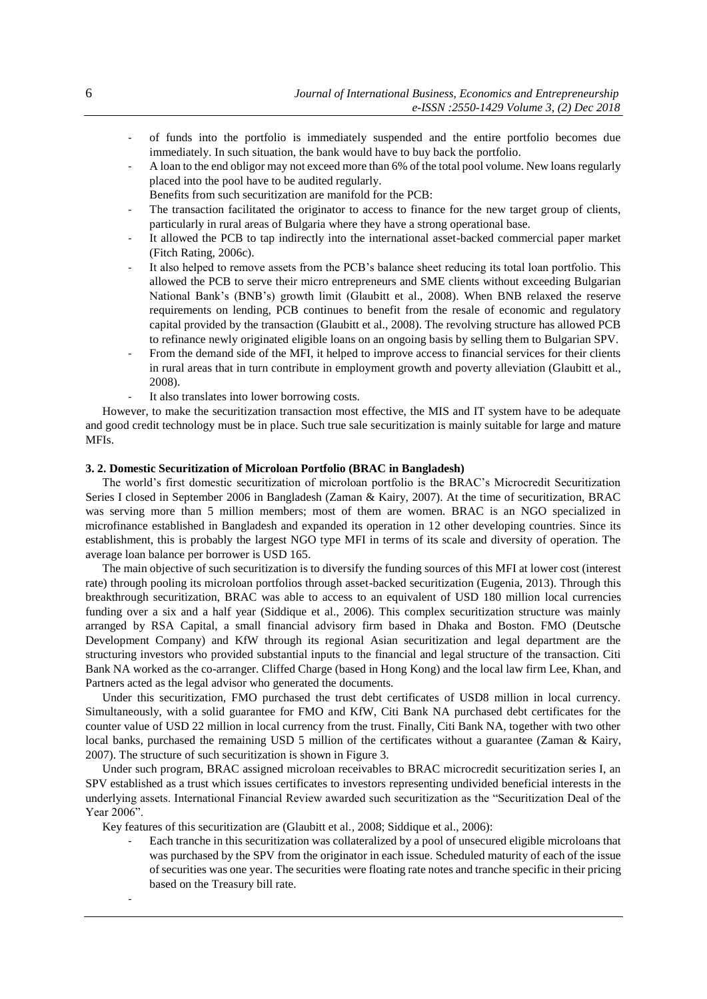- of funds into the portfolio is immediately suspended and the entire portfolio becomes due immediately. In such situation, the bank would have to buy back the portfolio.
- A loan to the end obligor may not exceed more than 6% of the total pool volume. New loans regularly placed into the pool have to be audited regularly.
- Benefits from such securitization are manifold for the PCB:
- The transaction facilitated the originator to access to finance for the new target group of clients, particularly in rural areas of Bulgaria where they have a strong operational base.
- It allowed the PCB to tap indirectly into the international asset-backed commercial paper market (Fitch Rating, 2006c).
- It also helped to remove assets from the PCB's balance sheet reducing its total loan portfolio. This allowed the PCB to serve their micro entrepreneurs and SME clients without exceeding Bulgarian National Bank's (BNB's) growth limit (Glaubitt et al., 2008). When BNB relaxed the reserve requirements on lending, PCB continues to benefit from the resale of economic and regulatory capital provided by the transaction (Glaubitt et al., 2008). The revolving structure has allowed PCB to refinance newly originated eligible loans on an ongoing basis by selling them to Bulgarian SPV.
- From the demand side of the MFI, it helped to improve access to financial services for their clients in rural areas that in turn contribute in employment growth and poverty alleviation (Glaubitt et al., 2008).
- It also translates into lower borrowing costs.

However, to make the securitization transaction most effective, the MIS and IT system have to be adequate and good credit technology must be in place. Such true sale securitization is mainly suitable for large and mature MFIs.

#### **3. 2. Domestic Securitization of Microloan Portfolio (BRAC in Bangladesh)**

The world's first domestic securitization of microloan portfolio is the BRAC's Microcredit Securitization Series I closed in September 2006 in Bangladesh (Zaman & Kairy, 2007). At the time of securitization, BRAC was serving more than 5 million members; most of them are women. BRAC is an NGO specialized in microfinance established in Bangladesh and expanded its operation in 12 other developing countries. Since its establishment, this is probably the largest NGO type MFI in terms of its scale and diversity of operation. The average loan balance per borrower is USD 165.

The main objective of such securitization is to diversify the funding sources of this MFI at lower cost (interest rate) through pooling its microloan portfolios through asset-backed securitization (Eugenia, 2013). Through this breakthrough securitization, BRAC was able to access to an equivalent of USD 180 million local currencies funding over a six and a half year (Siddique et al., 2006). This complex securitization structure was mainly arranged by RSA Capital, a small financial advisory firm based in Dhaka and Boston. FMO (Deutsche Development Company) and KfW through its regional Asian securitization and legal department are the structuring investors who provided substantial inputs to the financial and legal structure of the transaction. Citi Bank NA worked as the co-arranger. Cliffed Charge (based in Hong Kong) and the local law firm Lee, Khan, and Partners acted as the legal advisor who generated the documents.

Under this securitization, FMO purchased the trust debt certificates of USD8 million in local currency. Simultaneously, with a solid guarantee for FMO and KfW, Citi Bank NA purchased debt certificates for the counter value of USD 22 million in local currency from the trust. Finally, Citi Bank NA, together with two other local banks, purchased the remaining USD 5 million of the certificates without a guarantee (Zaman & Kairy, 2007). The structure of such securitization is shown in Figure 3.

Under such program, BRAC assigned microloan receivables to BRAC microcredit securitization series I, an SPV established as a trust which issues certificates to investors representing undivided beneficial interests in the underlying assets. International Financial Review awarded such securitization as the "Securitization Deal of the Year 2006".

Key features of this securitization are (Glaubitt et al.*,* 2008; Siddique et al., 2006):

-

- Each tranche in this securitization was collateralized by a pool of unsecured eligible microloans that was purchased by the SPV from the originator in each issue. Scheduled maturity of each of the issue of securities was one year. The securities were floating rate notes and tranche specific in their pricing based on the Treasury bill rate.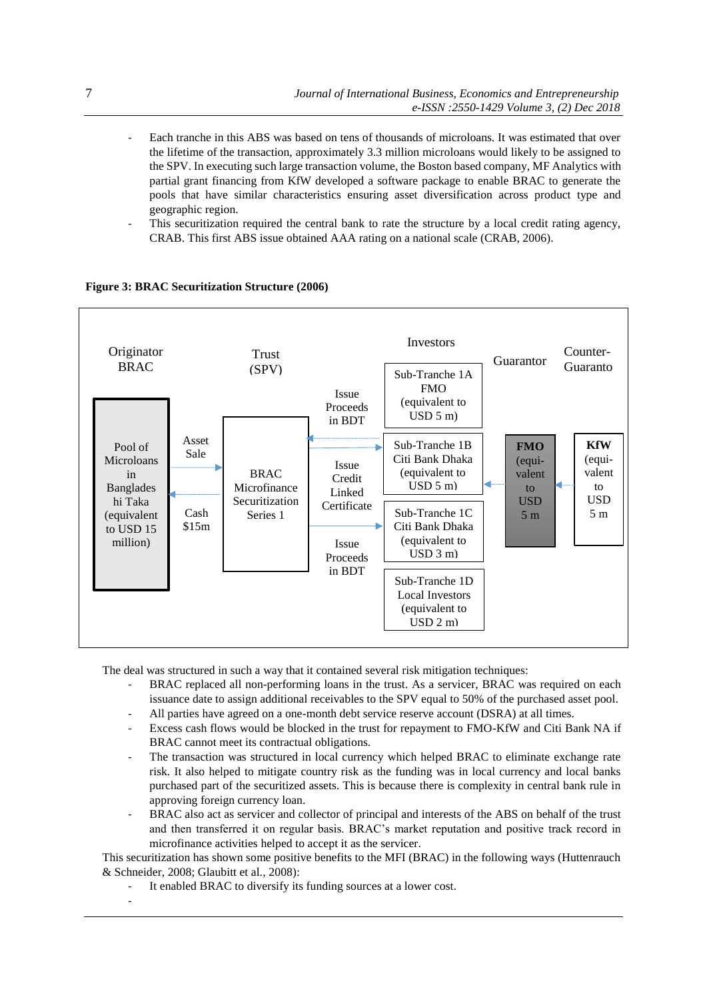- Each tranche in this ABS was based on tens of thousands of microloans. It was estimated that over the lifetime of the transaction, approximately 3.3 million microloans would likely to be assigned to the SPV. In executing such large transaction volume, the Boston based company, MF Analytics with partial grant financing from KfW developed a software package to enable BRAC to generate the pools that have similar characteristics ensuring asset diversification across product type and geographic region.
- This securitization required the central bank to rate the structure by a local credit rating agency, CRAB. This first ABS issue obtained AAA rating on a national scale (CRAB, 2006).



**Figure 3: BRAC Securitization Structure (2006)**

The deal was structured in such a way that it contained several risk mitigation techniques:

- BRAC replaced all non-performing loans in the trust. As a servicer, BRAC was required on each issuance date to assign additional receivables to the SPV equal to 50% of the purchased asset pool.
- All parties have agreed on a one-month debt service reserve account (DSRA) at all times.
- Excess cash flows would be blocked in the trust for repayment to FMO-KfW and Citi Bank NA if BRAC cannot meet its contractual obligations.
- The transaction was structured in local currency which helped BRAC to eliminate exchange rate risk. It also helped to mitigate country risk as the funding was in local currency and local banks purchased part of the securitized assets. This is because there is complexity in central bank rule in approving foreign currency loan.
- BRAC also act as servicer and collector of principal and interests of the ABS on behalf of the trust and then transferred it on regular basis. BRAC's market reputation and positive track record in microfinance activities helped to accept it as the servicer.

This securitization has shown some positive benefits to the MFI (BRAC) in the following ways (Huttenrauch & Schneider, 2008; Glaubitt et al.*,* 2008):

It enabled BRAC to diversify its funding sources at a lower cost.

-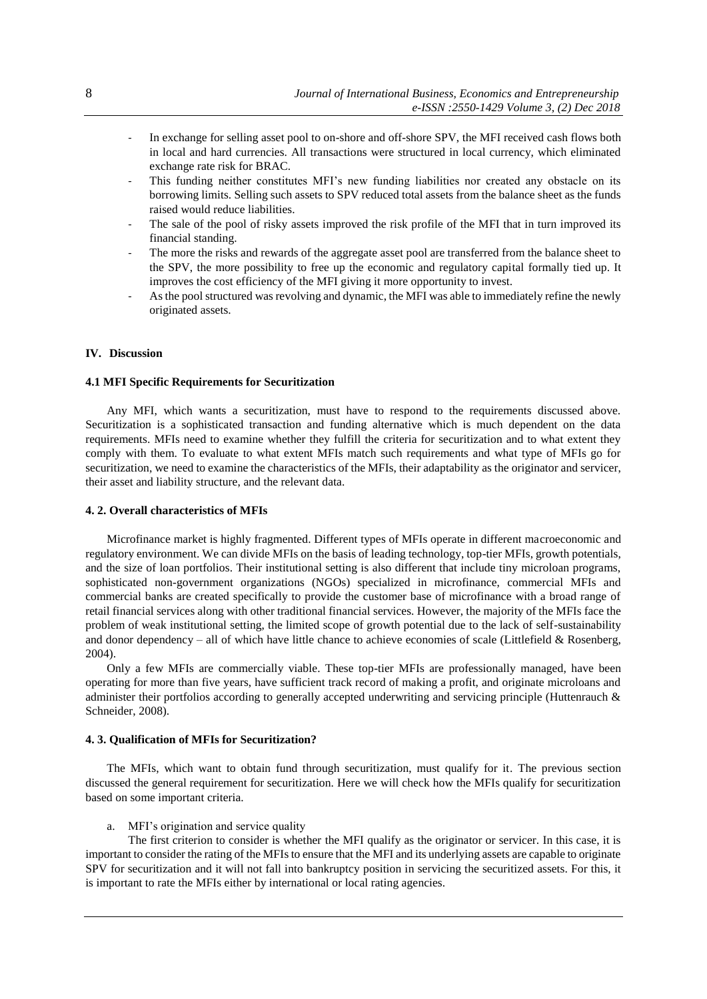- In exchange for selling asset pool to on-shore and off-shore SPV, the MFI received cash flows both in local and hard currencies. All transactions were structured in local currency, which eliminated exchange rate risk for BRAC.
- This funding neither constitutes MFI's new funding liabilities nor created any obstacle on its borrowing limits. Selling such assets to SPV reduced total assets from the balance sheet as the funds raised would reduce liabilities.
- The sale of the pool of risky assets improved the risk profile of the MFI that in turn improved its financial standing.
- The more the risks and rewards of the aggregate asset pool are transferred from the balance sheet to the SPV, the more possibility to free up the economic and regulatory capital formally tied up. It improves the cost efficiency of the MFI giving it more opportunity to invest.
- As the pool structured was revolving and dynamic, the MFI was able to immediately refine the newly originated assets.

#### **IV. Discussion**

# **4.1 MFI Specific Requirements for Securitization**

Any MFI, which wants a securitization, must have to respond to the requirements discussed above. Securitization is a sophisticated transaction and funding alternative which is much dependent on the data requirements. MFIs need to examine whether they fulfill the criteria for securitization and to what extent they comply with them. To evaluate to what extent MFIs match such requirements and what type of MFIs go for securitization, we need to examine the characteristics of the MFIs, their adaptability as the originator and servicer, their asset and liability structure, and the relevant data.

#### **4. 2. Overall characteristics of MFIs**

Microfinance market is highly fragmented. Different types of MFIs operate in different macroeconomic and regulatory environment. We can divide MFIs on the basis of leading technology, top-tier MFIs, growth potentials, and the size of loan portfolios. Their institutional setting is also different that include tiny microloan programs, sophisticated non-government organizations (NGOs) specialized in microfinance, commercial MFIs and commercial banks are created specifically to provide the customer base of microfinance with a broad range of retail financial services along with other traditional financial services. However, the majority of the MFIs face the problem of weak institutional setting, the limited scope of growth potential due to the lack of self-sustainability and donor dependency – all of which have little chance to achieve economies of scale (Littlefield & Rosenberg, 2004).

Only a few MFIs are commercially viable. These top-tier MFIs are professionally managed, have been operating for more than five years, have sufficient track record of making a profit, and originate microloans and administer their portfolios according to generally accepted underwriting and servicing principle (Huttenrauch & Schneider, 2008).

## **4. 3. Qualification of MFIs for Securitization?**

The MFIs, which want to obtain fund through securitization, must qualify for it. The previous section discussed the general requirement for securitization. Here we will check how the MFIs qualify for securitization based on some important criteria.

a. MFI's origination and service quality

The first criterion to consider is whether the MFI qualify as the originator or servicer. In this case, it is important to consider the rating of the MFIs to ensure that the MFI and its underlying assets are capable to originate SPV for securitization and it will not fall into bankruptcy position in servicing the securitized assets. For this, it is important to rate the MFIs either by international or local rating agencies.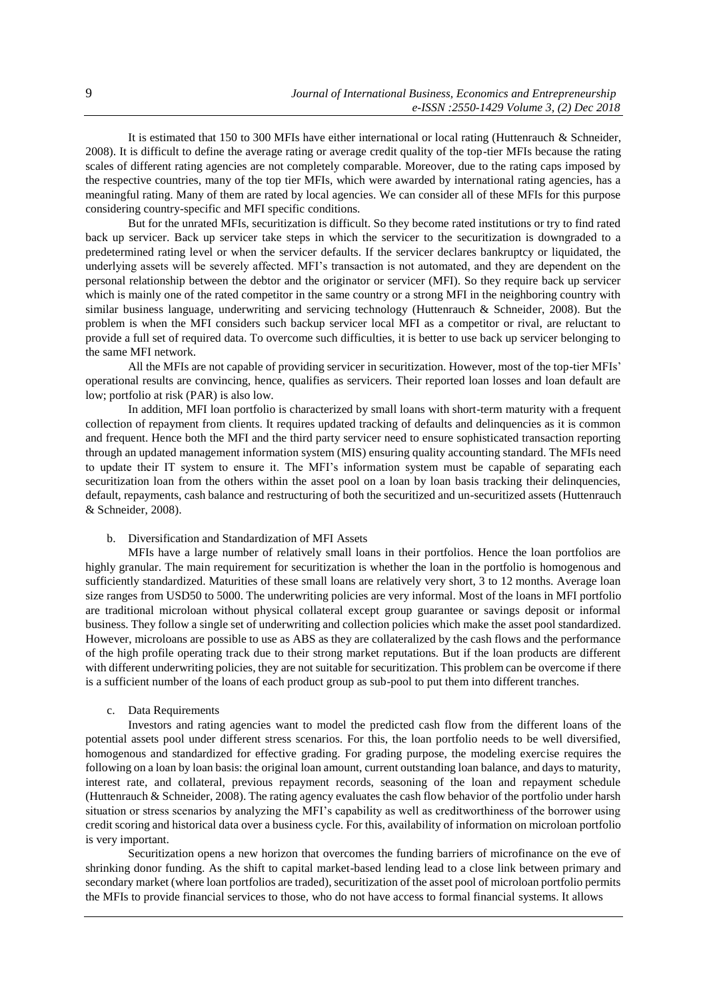It is estimated that 150 to 300 MFIs have either international or local rating (Huttenrauch & Schneider, 2008). It is difficult to define the average rating or average credit quality of the top-tier MFIs because the rating scales of different rating agencies are not completely comparable. Moreover, due to the rating caps imposed by the respective countries, many of the top tier MFIs, which were awarded by international rating agencies, has a meaningful rating. Many of them are rated by local agencies. We can consider all of these MFIs for this purpose considering country-specific and MFI specific conditions.

But for the unrated MFIs, securitization is difficult. So they become rated institutions or try to find rated back up servicer. Back up servicer take steps in which the servicer to the securitization is downgraded to a predetermined rating level or when the servicer defaults. If the servicer declares bankruptcy or liquidated, the underlying assets will be severely affected. MFI's transaction is not automated, and they are dependent on the personal relationship between the debtor and the originator or servicer (MFI). So they require back up servicer which is mainly one of the rated competitor in the same country or a strong MFI in the neighboring country with similar business language, underwriting and servicing technology (Huttenrauch  $\&$  Schneider, 2008). But the problem is when the MFI considers such backup servicer local MFI as a competitor or rival, are reluctant to provide a full set of required data. To overcome such difficulties, it is better to use back up servicer belonging to the same MFI network.

All the MFIs are not capable of providing servicer in securitization. However, most of the top-tier MFIs' operational results are convincing, hence, qualifies as servicers. Their reported loan losses and loan default are low; portfolio at risk (PAR) is also low.

In addition, MFI loan portfolio is characterized by small loans with short-term maturity with a frequent collection of repayment from clients. It requires updated tracking of defaults and delinquencies as it is common and frequent. Hence both the MFI and the third party servicer need to ensure sophisticated transaction reporting through an updated management information system (MIS) ensuring quality accounting standard. The MFIs need to update their IT system to ensure it. The MFI's information system must be capable of separating each securitization loan from the others within the asset pool on a loan by loan basis tracking their delinquencies, default, repayments, cash balance and restructuring of both the securitized and un-securitized assets (Huttenrauch & Schneider, 2008).

b. Diversification and Standardization of MFI Assets

MFIs have a large number of relatively small loans in their portfolios. Hence the loan portfolios are highly granular. The main requirement for securitization is whether the loan in the portfolio is homogenous and sufficiently standardized. Maturities of these small loans are relatively very short, 3 to 12 months. Average loan size ranges from USD50 to 5000. The underwriting policies are very informal. Most of the loans in MFI portfolio are traditional microloan without physical collateral except group guarantee or savings deposit or informal business. They follow a single set of underwriting and collection policies which make the asset pool standardized. However, microloans are possible to use as ABS as they are collateralized by the cash flows and the performance of the high profile operating track due to their strong market reputations. But if the loan products are different with different underwriting policies, they are not suitable for securitization. This problem can be overcome if there is a sufficient number of the loans of each product group as sub-pool to put them into different tranches.

c. Data Requirements

Investors and rating agencies want to model the predicted cash flow from the different loans of the potential assets pool under different stress scenarios. For this, the loan portfolio needs to be well diversified, homogenous and standardized for effective grading. For grading purpose, the modeling exercise requires the following on a loan by loan basis: the original loan amount, current outstanding loan balance, and days to maturity, interest rate, and collateral, previous repayment records, seasoning of the loan and repayment schedule (Huttenrauch & Schneider, 2008). The rating agency evaluates the cash flow behavior of the portfolio under harsh situation or stress scenarios by analyzing the MFI's capability as well as creditworthiness of the borrower using credit scoring and historical data over a business cycle. For this, availability of information on microloan portfolio is very important.

Securitization opens a new horizon that overcomes the funding barriers of microfinance on the eve of shrinking donor funding. As the shift to capital market-based lending lead to a close link between primary and secondary market (where loan portfolios are traded), securitization of the asset pool of microloan portfolio permits the MFIs to provide financial services to those, who do not have access to formal financial systems. It allows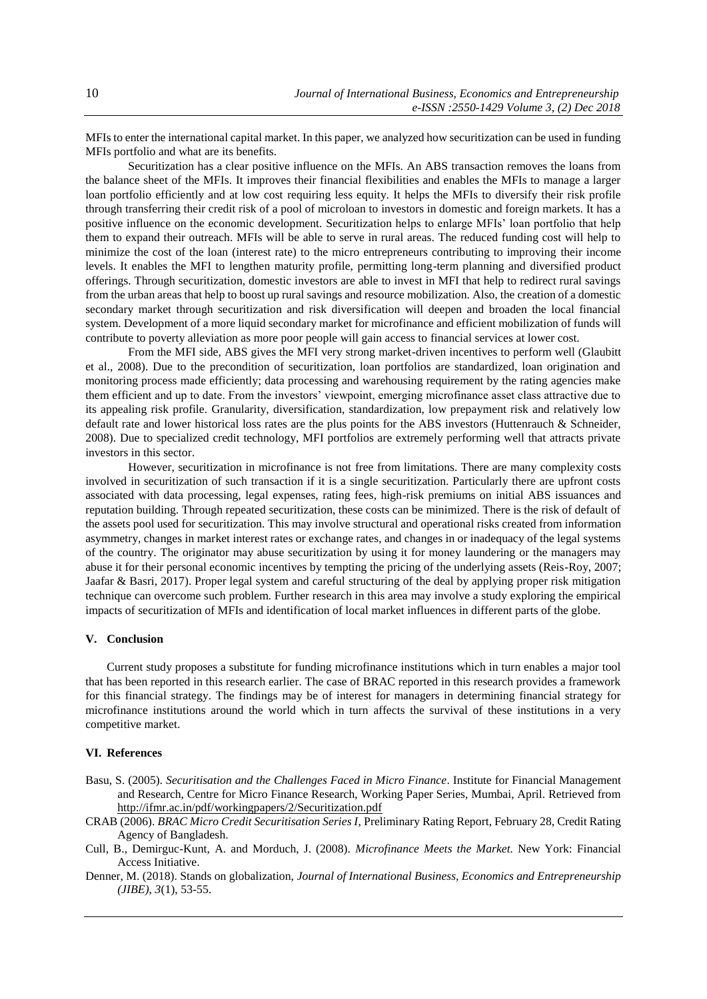MFIs to enter the international capital market. In this paper, we analyzed how securitization can be used in funding MFIs portfolio and what are its benefits.

Securitization has a clear positive influence on the MFIs. An ABS transaction removes the loans from the balance sheet of the MFIs. It improves their financial flexibilities and enables the MFIs to manage a larger loan portfolio efficiently and at low cost requiring less equity. It helps the MFIs to diversify their risk profile through transferring their credit risk of a pool of microloan to investors in domestic and foreign markets. It has a positive influence on the economic development. Securitization helps to enlarge MFIs' loan portfolio that help them to expand their outreach. MFIs will be able to serve in rural areas. The reduced funding cost will help to minimize the cost of the loan (interest rate) to the micro entrepreneurs contributing to improving their income levels. It enables the MFI to lengthen maturity profile, permitting long-term planning and diversified product offerings. Through securitization, domestic investors are able to invest in MFI that help to redirect rural savings from the urban areas that help to boost up rural savings and resource mobilization. Also, the creation of a domestic secondary market through securitization and risk diversification will deepen and broaden the local financial system. Development of a more liquid secondary market for microfinance and efficient mobilization of funds will contribute to poverty alleviation as more poor people will gain access to financial services at lower cost.

From the MFI side, ABS gives the MFI very strong market-driven incentives to perform well (Glaubitt et al., 2008). Due to the precondition of securitization, loan portfolios are standardized, loan origination and monitoring process made efficiently; data processing and warehousing requirement by the rating agencies make them efficient and up to date. From the investors' viewpoint, emerging microfinance asset class attractive due to its appealing risk profile. Granularity, diversification, standardization, low prepayment risk and relatively low default rate and lower historical loss rates are the plus points for the ABS investors (Huttenrauch & Schneider, 2008). Due to specialized credit technology, MFI portfolios are extremely performing well that attracts private investors in this sector.

However, securitization in microfinance is not free from limitations. There are many complexity costs involved in securitization of such transaction if it is a single securitization. Particularly there are upfront costs associated with data processing, legal expenses, rating fees, high-risk premiums on initial ABS issuances and reputation building. Through repeated securitization, these costs can be minimized. There is the risk of default of the assets pool used for securitization. This may involve structural and operational risks created from information asymmetry, changes in market interest rates or exchange rates, and changes in or inadequacy of the legal systems of the country. The originator may abuse securitization by using it for money laundering or the managers may abuse it for their personal economic incentives by tempting the pricing of the underlying assets (Reis-Roy, 2007; Jaafar & Basri, 2017). Proper legal system and careful structuring of the deal by applying proper risk mitigation technique can overcome such problem. Further research in this area may involve a study exploring the empirical impacts of securitization of MFIs and identification of local market influences in different parts of the globe.

#### **V. Conclusion**

Current study proposes a substitute for funding microfinance institutions which in turn enables a major tool that has been reported in this research earlier. The case of BRAC reported in this research provides a framework for this financial strategy. The findings may be of interest for managers in determining financial strategy for microfinance institutions around the world which in turn affects the survival of these institutions in a very competitive market.

## **VI. References**

- Basu, S. (2005). *Securitisation and the Challenges Faced in Micro Finance*. Institute for Financial Management and Research, Centre for Micro Finance Research, Working Paper Series, Mumbai, April. Retrieved from <http://ifmr.ac.in/pdf/workingpapers/2/Securitization.pdf>
- CRAB (2006). *BRAC Micro Credit Securitisation Series I*, Preliminary Rating Report, February 28, Credit Rating Agency of Bangladesh.
- Cull, B., Demirguc-Kunt, A. and Morduch, J. (2008). *Microfinance Meets the Market.* New York: Financial Access Initiative.
- Denner, M. (2018). Stands on globalization, *Journal of International Business, Economics and Entrepreneurship (JIBE)*, *3*(1), 53-55.